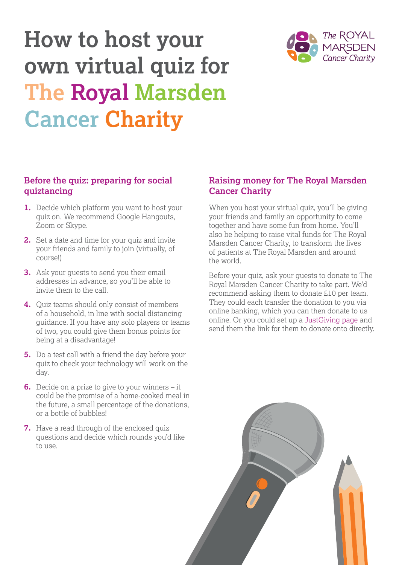# **How to host your own virtual quiz for The Royal Marsden Cancer Charity**

#### **Before the quiz: preparing for social quiztancing**

- **1.** Decide which platform you want to host your quiz on. We recommend Google Hangouts, Zoom or Skype.
- **2.** Set a date and time for your quiz and invite your friends and family to join (virtually, of course!)
- **3.** Ask your guests to send you their email addresses in advance, so you'll be able to invite them to the call.
- **4.** Quiz teams should only consist of members of a household, in line with social distancing guidance. If you have any solo players or teams of two, you could give them bonus points for being at a disadvantage!
- **5.** Do a test call with a friend the day before your quiz to check your technology will work on the day.
- **6.** Decide on a prize to give to your winners it could be the promise of a home-cooked meal in the future, a small percentage of the donations, or a bottle of bubbles!
- **7.** Have a read through of the enclosed quiz questions and decide which rounds you'd like to use.

#### **Raising money for The Royal Marsden Cancer Charity**

When you host your virtual quiz, you'll be giving your friends and family an opportunity to come together and have some fun from home. You'll also be helping to raise vital funds for The Royal Marsden Cancer Charity, to transform the lives of patients at The Royal Marsden and around the world.

Before your quiz, ask your guests to donate to The Royal Marsden Cancer Charity to take part. We'd recommend asking them to donate £10 per team. They could each transfer the donation to you via online banking, which you can then donate to us online. Or you could set up a [JustGiving page](http://justgiving.com/rmcc) and send them the link for them to donate onto directly.



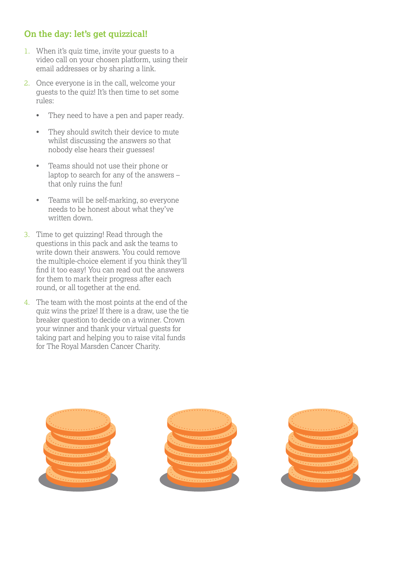## **On the day: let's get quizzical!**

- 1. When it's quiz time, invite your guests to a video call on your chosen platform, using their email addresses or by sharing a link.
- 2. Once everyone is in the call, welcome your guests to the quiz! It's then time to set some rules:
	- They need to have a pen and paper ready.
	- They should switch their device to mute whilst discussing the answers so that nobody else hears their guesses!
	- Teams should not use their phone or laptop to search for any of the answers – that only ruins the fun!
	- Teams will be self-marking, so everyone needs to be honest about what they've written down.
- 3. Time to get quizzing! Read through the questions in this pack and ask the teams to write down their answers. You could remove the multiple-choice element if you think they'll find it too easy! You can read out the answers for them to mark their progress after each round, or all together at the end.
- 4. The team with the most points at the end of the quiz wins the prize! If there is a draw, use the tie breaker question to decide on a winner. Crown your winner and thank your virtual guests for taking part and helping you to raise vital funds for The Royal Marsden Cancer Charity.

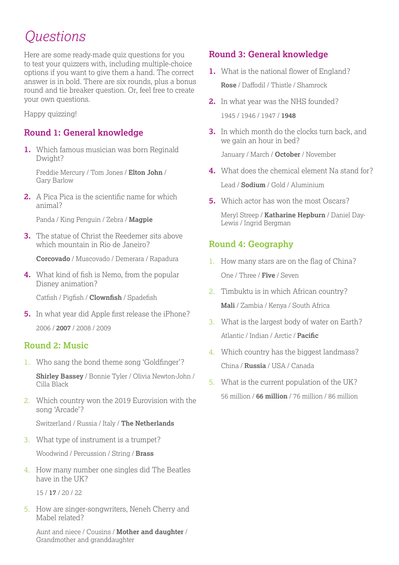# *Questions*

Here are some ready-made quiz questions for you to test your quizzers with, including multiple-choice options if you want to give them a hand. The correct answer is in bold. There are six rounds, plus a bonus round and tie breaker question. Or, feel free to create your own questions.

Happy quizzing!

## **Round 1: General knowledge**

**1.** Which famous musician was born Reginald Dwight?

Freddie Mercury / Tom Jones / **Elton John** / Gary Barlow

**2.** A Pica Pica is the scientific name for which animal?

Panda / King Penguin / Zebra / **Magpie**

**3.** The statue of Christ the Reedemer sits above which mountain in Rio de Janeiro?

**Corcovado** / Muscovado / Demerara / Rapadura

**4.** What kind of fish is Nemo, from the popular Disney animation?

Catfish / Pigfish / **Clownfish** / Spadefish

**5.** In what year did Apple first release the iPhone? 2006 / **2007** / 2008 / 2009

#### **Round 2: Music**

1. Who sang the bond theme song 'Goldfinger'?

**Shirley Bassey** / Bonnie Tyler / Olivia Newton-John / Cilla Black

2. Which country won the 2019 Eurovision with the song 'Arcade'?

Switzerland / Russia / Italy / **The Netherlands**

3. What type of instrument is a trumpet?

Woodwind / Percussion / String / **Brass**

4. How many number one singles did The Beatles have in the UK?

15 / **17** / 20 / 22

5. How are singer-songwriters, Neneh Cherry and Mabel related?

Aunt and niece / Cousins / **Mother and daughter** / Grandmother and granddaughter

# **Round 3: General knowledge**

- **1.** What is the national flower of England? **Rose** / Daffodil / Thistle / Shamrock
- **2.** In what year was the NHS founded? 1945 / 1946 / 1947 / **1948**
- **3.** In which month do the clocks turn back, and we gain an hour in bed?

January / March / **October** / November

- **4.** What does the chemical element Na stand for? Lead / **Sodium** / Gold / Aluminium
- **5.** Which actor has won the most Oscars?

Meryl Streep / **Katharine Hepburn** / Daniel Day-Lewis / Ingrid Bergman

# **Round 4: Geography**

- 1. How many stars are on the flag of China? One / Three / **Five** / Seven
- 2. Timbuktu is in which African country? **Mali** / Zambia / Kenya / South Africa
- 3. What is the largest body of water on Earth? Atlantic / Indian / Arctic / **Pacific**
- 4. Which country has the biggest landmass? China / **Russia** / USA / Canada
- 5. What is the current population of the UK? 56 million / **66 million** / 76 million / 86 million